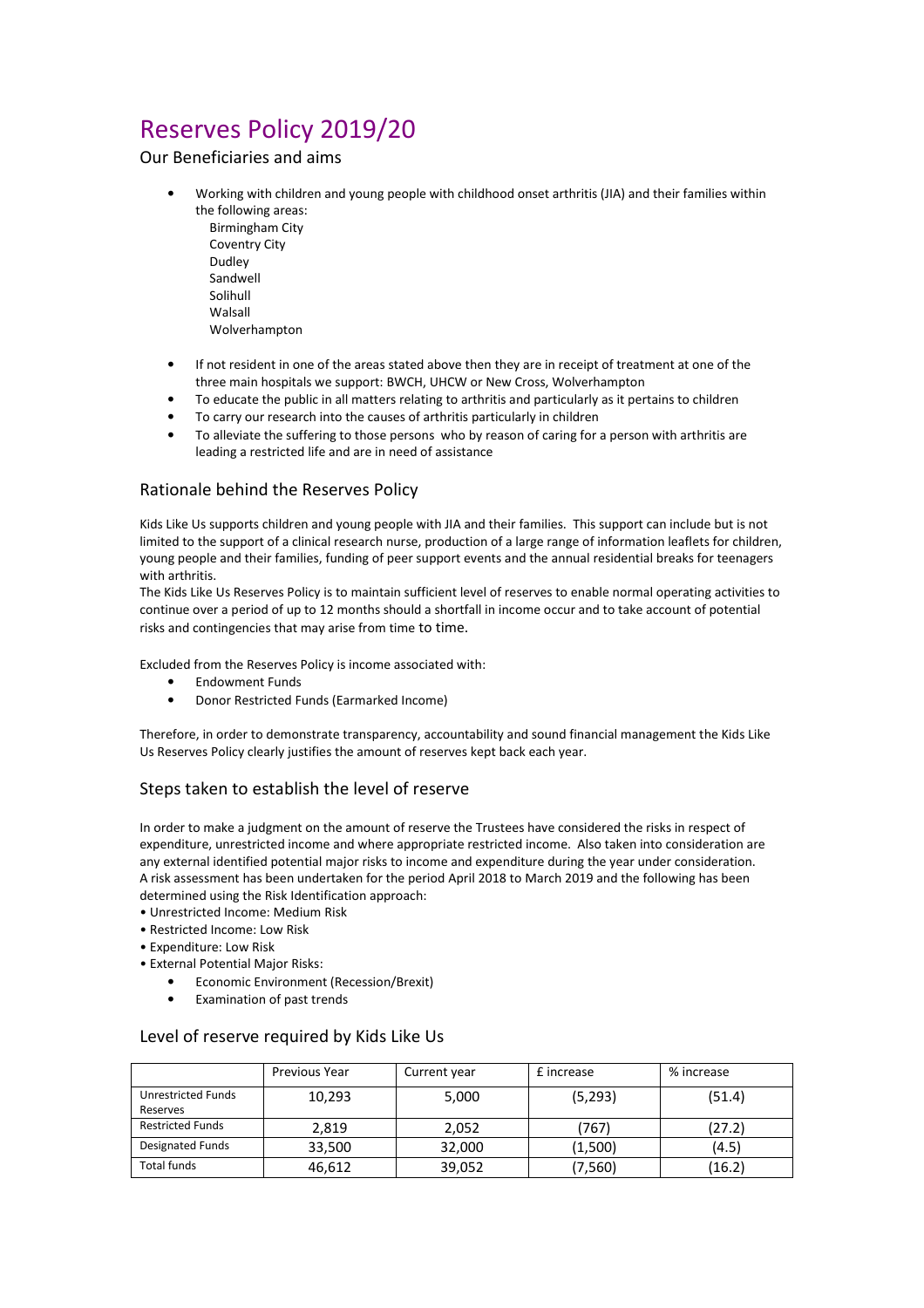# Reserves Policy 2019/20

Our Beneficiaries and aims

- Working with children and young people with childhood onset arthritis (JIA) and their families within the following areas:
	- Birmingham City Coventry City Dudley Sandwell Solihull Walsall Wolverhampton
- If not resident in one of the areas stated above then they are in receipt of treatment at one of the three main hospitals we support: BWCH, UHCW or New Cross, Wolverhampton
- To educate the public in all matters relating to arthritis and particularly as it pertains to children
- To carry our research into the causes of arthritis particularly in children
- To alleviate the suffering to those persons who by reason of caring for a person with arthritis are leading a restricted life and are in need of assistance

## Rationale behind the Reserves Policy

Kids Like Us supports children and young people with JIA and their families. This support can include but is not limited to the support of a clinical research nurse, production of a large range of information leaflets for children, young people and their families, funding of peer support events and the annual residential breaks for teenagers with arthritis.

The Kids Like Us Reserves Policy is to maintain sufficient level of reserves to enable normal operating activities to continue over a period of up to 12 months should a shortfall in income occur and to take account of potential risks and contingencies that may arise from time to time.

Excluded from the Reserves Policy is income associated with:

- Endowment Funds
- Donor Restricted Funds (Earmarked Income)

Therefore, in order to demonstrate transparency, accountability and sound financial management the Kids Like Us Reserves Policy clearly justifies the amount of reserves kept back each year.

#### Steps taken to establish the level of reserve

In order to make a judgment on the amount of reserve the Trustees have considered the risks in respect of expenditure, unrestricted income and where appropriate restricted income. Also taken into consideration are any external identified potential major risks to income and expenditure during the year under consideration. A risk assessment has been undertaken for the period April 2018 to March 2019 and the following has been determined using the Risk Identification approach:

• Unrestricted Income: Medium Risk

- Restricted Income: Low Risk
- Expenditure: Low Risk
- External Potential Major Risks:
	- Economic Environment (Recession/Brexit)
	- Examination of past trends

#### Level of reserve required by Kids Like Us

|                                       | <b>Previous Year</b> | Current year | £ increase | % increase |
|---------------------------------------|----------------------|--------------|------------|------------|
| <b>Unrestricted Funds</b><br>Reserves | 10,293               | 5,000        | (5, 293)   | (51.4)     |
| <b>Restricted Funds</b>               | 2.819                | 2,052        | '767)      | (27.2)     |
| Designated Funds                      | 33,500               | 32,000       | (1,500)    | (4.5)      |
| Total funds                           | 46,612               | 39,052       | (7,560)    | (16.2)     |